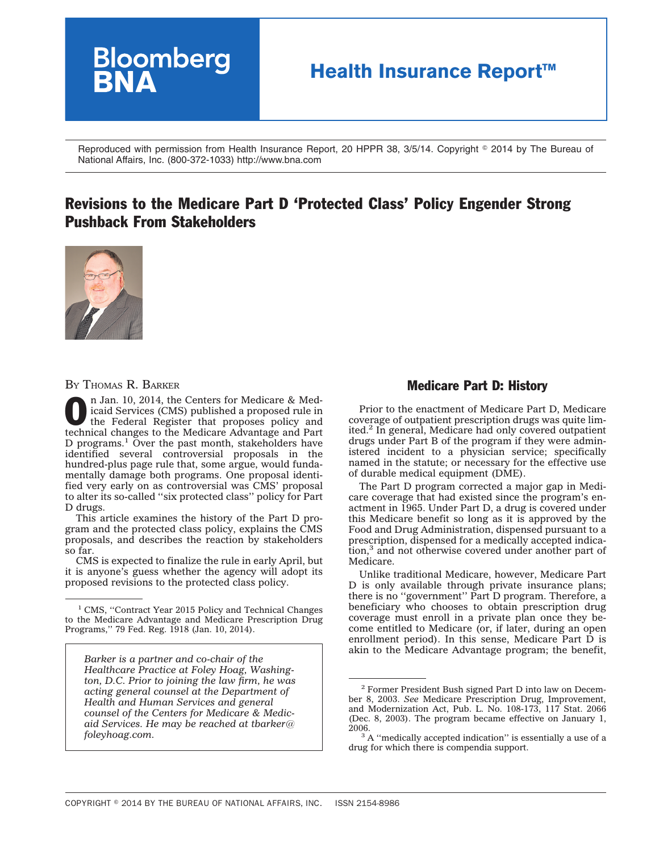

Reproduced with permission from Health Insurance Report, 20 HPPR 38, 3/5/14. Copyright © 2014 by The Bureau of National Affairs, Inc. (800-372-1033) http://www.bna.com

# Revisions to the Medicare Part D 'Protected Class' Policy Engender Strong Pushback From Stakeholders



BY THOMAS R. BARKER

n Jan. 10, 2014, the Centers for Medicare & Medicard Centers (CMS) published a proposed rule in the Federal Register that proposes policy and taskinical characteristic method in the Medicare of the Medicare of the Medicare icaid Services (CMS) published a [proposed rule](http://www.gpo.gov/fdsys/pkg/FR-2014-01-10/pdf/2013-31497.pdf) in technical changes to the Medicare Advantage and Part D programs.<sup>1</sup> Over the past month, stakeholders have identified several controversial proposals in the hundred-plus page rule that, some argue, would fundamentally damage both programs. One proposal identified very early on as controversial was CMS' proposal to alter its so-called ''six protected class'' policy for Part D drugs.

This article examines the history of the Part D program and the protected class policy, explains the CMS proposals, and describes the reaction by stakeholders so far.

CMS is expected to finalize the rule in early April, but it is anyone's guess whether the agency will adopt its proposed revisions to the protected class policy.

*Barker is a partner and co-chair of the Healthcare Practice at Foley Hoag, Washington, D.C. Prior to joining the law firm, he was acting general counsel at the Department of Health and Human Services and general counsel of the Centers for Medicare & Medicaid Services. He may be reached at tbarker@ foleyhoag.com.*

# Medicare Part D: History

Prior to the enactment of Medicare Part D, Medicare coverage of outpatient prescription drugs was quite limited.2 In general, Medicare had only covered outpatient drugs under Part B of the program if they were administered incident to a physician service; specifically named in the statute; or necessary for the effective use of durable medical equipment (DME).

The Part D program corrected a major gap in Medicare coverage that had existed since the program's enactment in 1965. Under Part D, a drug is covered under this Medicare benefit so long as it is approved by the Food and Drug Administration, dispensed pursuant to a prescription, dispensed for a medically accepted indication,3 and not otherwise covered under another part of Medicare.

Unlike traditional Medicare, however, Medicare Part D is only available through private insurance plans; there is no ''government'' Part D program. Therefore, a beneficiary who chooses to obtain prescription drug coverage must enroll in a private plan once they become entitled to Medicare (or, if later, during an open enrollment period). In this sense, Medicare Part D is akin to the Medicare Advantage program; the benefit,

<sup>&</sup>lt;sup>1</sup> CMS, "Contract Year 2015 Policy and Technical Changes" to the Medicare Advantage and Medicare Prescription Drug Programs,'' 79 Fed. Reg. 1918 (Jan. 10, 2014).

<sup>2</sup> Former President Bush signed Part D into law on December 8, 2003. *See* Medicare Prescription Drug, Improvement, and Modernization Act, Pub. L. No. 108-173, 117 Stat. 2066 (Dec. 8, 2003). The program became effective on January 1,

 $3A$  "medically accepted indication" is essentially a use of a drug for which there is compendia support.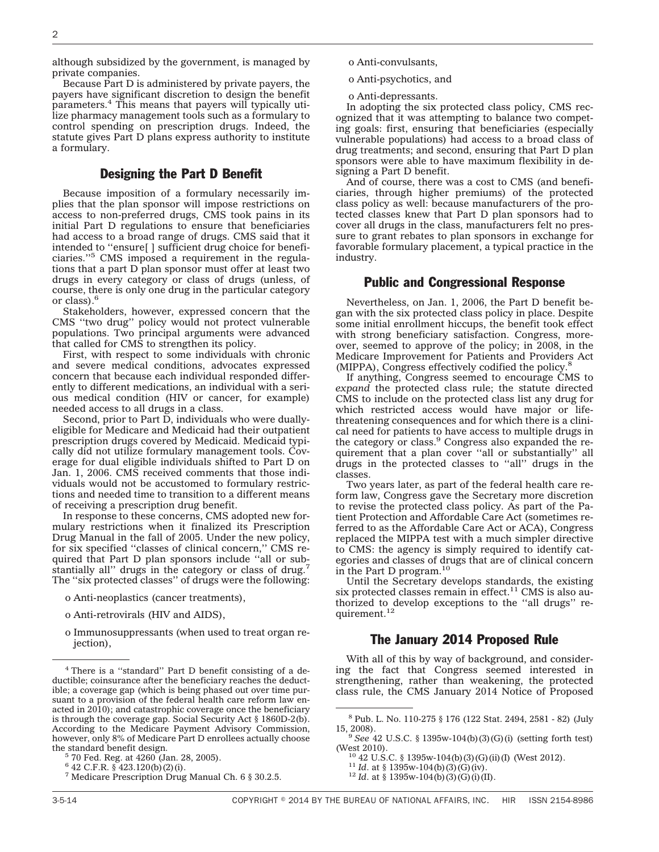although subsidized by the government, is managed by private companies.

Because Part D is administered by private payers, the payers have significant discretion to design the benefit parameters.4 This means that payers will typically utilize pharmacy management tools such as a formulary to control spending on prescription drugs. Indeed, the statute gives Part D plans express authority to institute a formulary.

## Designing the Part D Benefit

Because imposition of a formulary necessarily implies that the plan sponsor will impose restrictions on access to non-preferred drugs, CMS took pains in its initial Part D regulations to ensure that beneficiaries had access to a broad range of drugs. CMS said that it intended to ''ensure[ ] sufficient drug choice for beneficiaries.''5 CMS imposed a requirement in the regulations that a part D plan sponsor must offer at least two drugs in every category or class of drugs (unless, of course, there is only one drug in the particular category or class). $<sup>6</sup>$ </sup>

Stakeholders, however, expressed concern that the CMS ''two drug'' policy would not protect vulnerable populations. Two principal arguments were advanced that called for CMS to strengthen its policy.

First, with respect to some individuals with chronic and severe medical conditions, advocates expressed concern that because each individual responded differently to different medications, an individual with a serious medical condition (HIV or cancer, for example) needed access to all drugs in a class.

Second, prior to Part D, individuals who were duallyeligible for Medicare and Medicaid had their outpatient prescription drugs covered by Medicaid. Medicaid typically did not utilize formulary management tools. Coverage for dual eligible individuals shifted to Part D on Jan. 1, 2006. CMS received comments that those individuals would not be accustomed to formulary restrictions and needed time to transition to a different means of receiving a prescription drug benefit.

In response to these concerns, CMS adopted new formulary restrictions when it finalized its Prescription Drug Manual in the fall of 2005. Under the new policy, for six specified ''classes of clinical concern,'' CMS required that Part D plan sponsors include ''all or substantially all'' drugs in the category or class of drug.7 The ''six protected classes'' of drugs were the following:

- o Anti-neoplastics (cancer treatments),
- o Anti-retrovirals (HIV and AIDS),
- o Immunosuppressants (when used to treat organ rejection),
- o Anti-convulsants,
- o Anti-psychotics, and

o Anti-depressants.

In adopting the six protected class policy, CMS recognized that it was attempting to balance two competing goals: first, ensuring that beneficiaries (especially vulnerable populations) had access to a broad class of drug treatments; and second, ensuring that Part D plan sponsors were able to have maximum flexibility in designing a Part D benefit.

And of course, there was a cost to CMS (and beneficiaries, through higher premiums) of the protected class policy as well: because manufacturers of the protected classes knew that Part D plan sponsors had to cover all drugs in the class, manufacturers felt no pressure to grant rebates to plan sponsors in exchange for favorable formulary placement, a typical practice in the industry.

#### Public and Congressional Response

Nevertheless, on Jan. 1, 2006, the Part D benefit began with the six protected class policy in place. Despite some initial enrollment hiccups, the benefit took effect with strong beneficiary satisfaction. Congress, moreover, seemed to approve of the policy; in 2008, in the Medicare Improvement for Patients and Providers Act (MIPPA), Congress effectively codified the policy.8

If anything, Congress seemed to encourage CMS to *expand* the protected class rule; the statute directed CMS to include on the protected class list any drug for which restricted access would have major or lifethreatening consequences and for which there is a clinical need for patients to have access to multiple drugs in the category or class.<sup>9</sup> Congress also expanded the requirement that a plan cover ''all or substantially'' all drugs in the protected classes to ''all'' drugs in the classes.

Two years later, as part of the federal health care reform law, Congress gave the Secretary more discretion to revise the protected class policy. As part of the Patient Protection and Affordable Care Act (sometimes referred to as the Affordable Care Act or ACA), Congress replaced the MIPPA test with a much simpler directive to CMS: the agency is simply required to identify categories and classes of drugs that are of clinical concern in the Part D program.<sup>10</sup>

Until the Secretary develops standards, the existing six protected classes remain in effect.<sup>11</sup> CMS is also authorized to develop exceptions to the ''all drugs'' requirement.<sup>12</sup>

### The January 2014 Proposed Rule

With all of this by way of background, and considering the fact that Congress seemed interested in strengthening, rather than weakening, the protected class rule, the CMS January 2014 Notice of Proposed

<sup>4</sup> There is a ''standard'' Part D benefit consisting of a deductible; coinsurance after the beneficiary reaches the deductible; a coverage gap (which is being phased out over time pursuant to a provision of the federal health care reform law enacted in 2010); and catastrophic coverage once the beneficiary is through the coverage gap. Social Security Act § 1860D-2(b). According to the Medicare Payment Advisory Commission, however, only 8% of Medicare Part D enrollees actually choose the standard benefit design.<br><sup>5</sup> 70 Fed. Reg. at 4260 (Jan. 28, 2005).

<sup>6</sup> 42 C.F.R. § 423.120(b)(2)(i).

<sup>7</sup> Medicare Prescription Drug Manual Ch. 6 § 30.2.5.

<sup>8</sup> Pub. L. No. 110-275 § 176 (122 Stat. 2494, 2581 - 82) (July

<sup>&</sup>lt;sup>9</sup> *See* 42 U.S.C. § 1395w-104(b)(3)(G)(i) (setting forth test) (West 2010).

<sup>&</sup>lt;sup>10</sup> 42 U.S.C. § 1395w-104(b)(3)(G)(ii)(I) (West 2012).<br><sup>11</sup> *Id*. at § 1395w-104(b)(3)(G)(iv).<br><sup>12</sup> *Id*. at § 1395w-104(b)(3)(G)(i)(II).